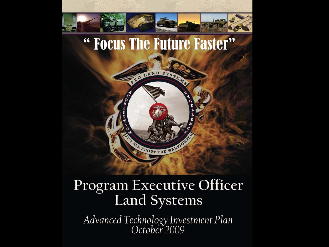

#### Program Executive Officer **Land Systems**

Advanced Technology Investment Plan<br>October 2009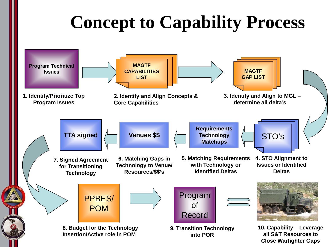## **Concept to Capability Process**

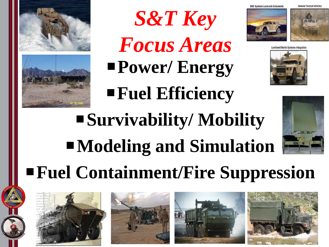



**Power/ Energy** *S&T Key Focus Areas*

**Fuel Efficiency**











## **Survivability/ Mobility Modeling and Simulation Fuel Containment/Fire Suppression**

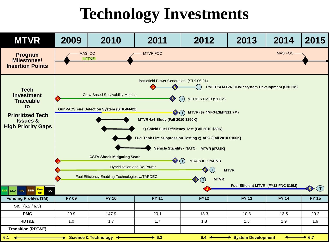### **Technology Investments**